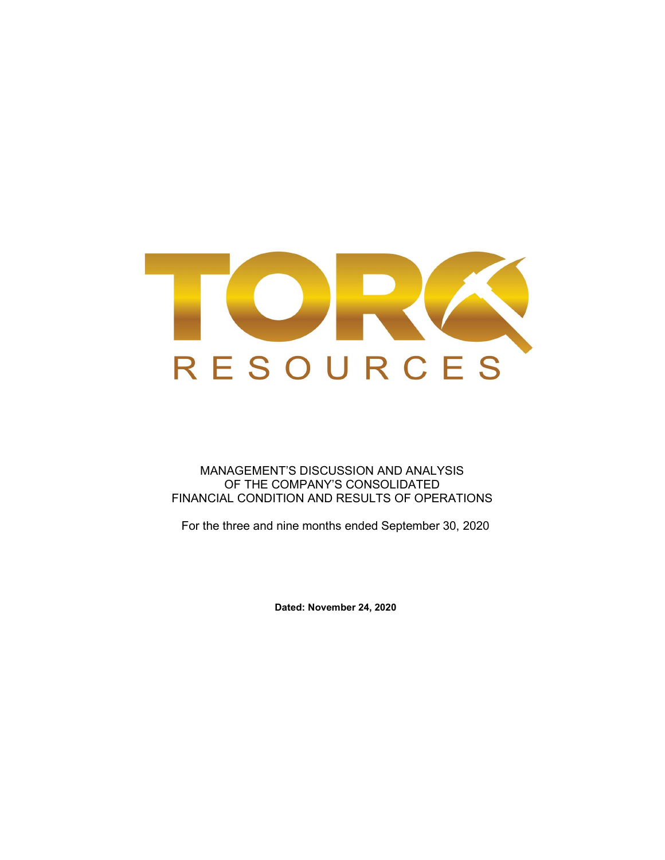

MANAGEMENT'S DISCUSSION AND ANALYSIS OF THE COMPANY'S CONSOLIDATED FINANCIAL CONDITION AND RESULTS OF OPERATIONS

For the three and nine months ended September 30, 2020

Dated: November 24, 2020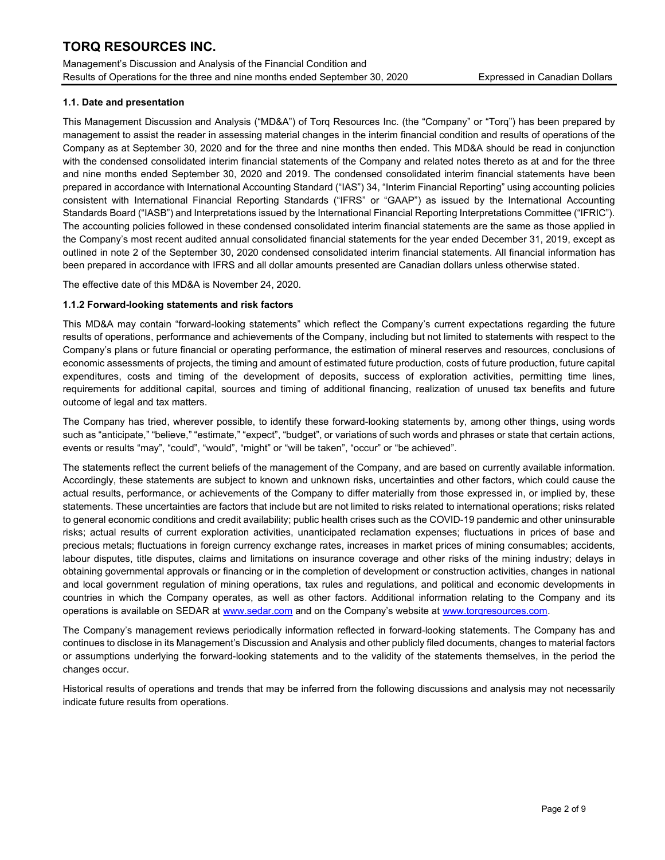Management's Discussion and Analysis of the Financial Condition and Results of Operations for the three and nine months ended September 30, 2020 Expressed in Canadian Dollars

### 1.1. Date and presentation

This Management Discussion and Analysis ("MD&A") of Torq Resources Inc. (the "Company" or "Torq") has been prepared by management to assist the reader in assessing material changes in the interim financial condition and results of operations of the Company as at September 30, 2020 and for the three and nine months then ended. This MD&A should be read in conjunction with the condensed consolidated interim financial statements of the Company and related notes thereto as at and for the three and nine months ended September 30, 2020 and 2019. The condensed consolidated interim financial statements have been prepared in accordance with International Accounting Standard ("IAS") 34, "Interim Financial Reporting" using accounting policies consistent with International Financial Reporting Standards ("IFRS" or "GAAP") as issued by the International Accounting Standards Board ("IASB") and Interpretations issued by the International Financial Reporting Interpretations Committee ("IFRIC"). The accounting policies followed in these condensed consolidated interim financial statements are the same as those applied in the Company's most recent audited annual consolidated financial statements for the year ended December 31, 2019, except as outlined in note 2 of the September 30, 2020 condensed consolidated interim financial statements. All financial information has been prepared in accordance with IFRS and all dollar amounts presented are Canadian dollars unless otherwise stated.

The effective date of this MD&A is November 24, 2020.

### 1.1.2 Forward-looking statements and risk factors

This MD&A may contain "forward-looking statements" which reflect the Company's current expectations regarding the future results of operations, performance and achievements of the Company, including but not limited to statements with respect to the Company's plans or future financial or operating performance, the estimation of mineral reserves and resources, conclusions of economic assessments of projects, the timing and amount of estimated future production, costs of future production, future capital expenditures, costs and timing of the development of deposits, success of exploration activities, permitting time lines, requirements for additional capital, sources and timing of additional financing, realization of unused tax benefits and future outcome of legal and tax matters.

The Company has tried, wherever possible, to identify these forward-looking statements by, among other things, using words such as "anticipate," "believe," "estimate," "expect", "budget", or variations of such words and phrases or state that certain actions, events or results "may", "could", "would", "might" or "will be taken", "occur" or "be achieved".

The statements reflect the current beliefs of the management of the Company, and are based on currently available information. Accordingly, these statements are subject to known and unknown risks, uncertainties and other factors, which could cause the actual results, performance, or achievements of the Company to differ materially from those expressed in, or implied by, these statements. These uncertainties are factors that include but are not limited to risks related to international operations; risks related to general economic conditions and credit availability; public health crises such as the COVID-19 pandemic and other uninsurable risks; actual results of current exploration activities, unanticipated reclamation expenses; fluctuations in prices of base and precious metals; fluctuations in foreign currency exchange rates, increases in market prices of mining consumables; accidents, labour disputes, title disputes, claims and limitations on insurance coverage and other risks of the mining industry; delays in obtaining governmental approvals or financing or in the completion of development or construction activities, changes in national and local government regulation of mining operations, tax rules and regulations, and political and economic developments in countries in which the Company operates, as well as other factors. Additional information relating to the Company and its operations is available on SEDAR at www.sedar.com and on the Company's website at www.torqresources.com.

The Company's management reviews periodically information reflected in forward-looking statements. The Company has and continues to disclose in its Management's Discussion and Analysis and other publicly filed documents, changes to material factors or assumptions underlying the forward-looking statements and to the validity of the statements themselves, in the period the changes occur.

Historical results of operations and trends that may be inferred from the following discussions and analysis may not necessarily indicate future results from operations.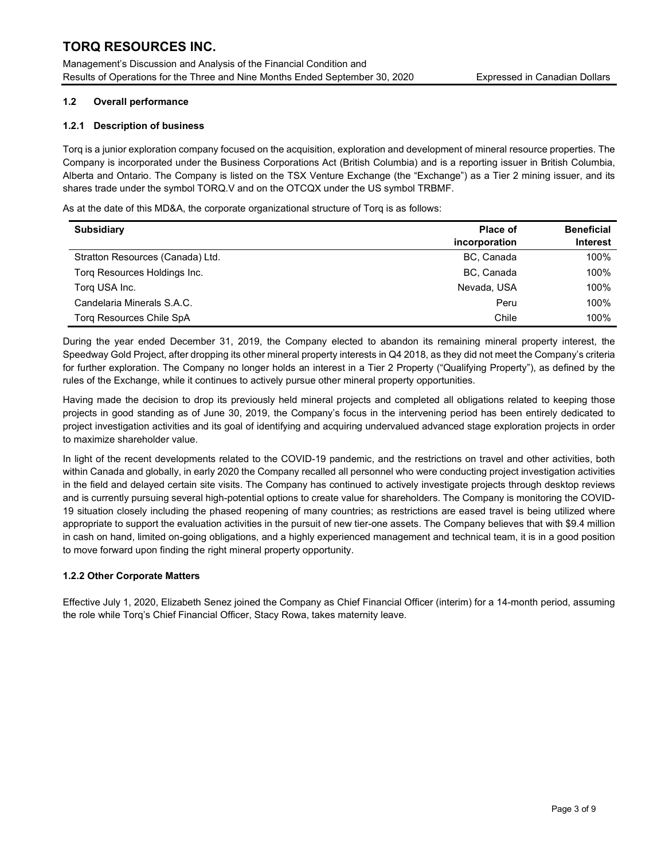Management's Discussion and Analysis of the Financial Condition and Results of Operations for the Three and Nine Months Ended September 30, 2020 Expressed in Canadian Dollars

## 1.2 Overall performance

## 1.2.1 Description of business

Torq is a junior exploration company focused on the acquisition, exploration and development of mineral resource properties. The Company is incorporated under the Business Corporations Act (British Columbia) and is a reporting issuer in British Columbia, Alberta and Ontario. The Company is listed on the TSX Venture Exchange (the "Exchange") as a Tier 2 mining issuer, and its shares trade under the symbol TORQ.V and on the OTCQX under the US symbol TRBMF.

As at the date of this MD&A, the corporate organizational structure of Torq is as follows:

| <b>Subsidiary</b>                | <b>Place of</b> |                 |
|----------------------------------|-----------------|-----------------|
|                                  | incorporation   | <b>Interest</b> |
| Stratton Resources (Canada) Ltd. | BC, Canada      | 100%            |
| Torg Resources Holdings Inc.     | BC, Canada      | 100%            |
| Torg USA Inc.                    | Nevada, USA     | 100%            |
| Candelaria Minerals S.A.C.       | Peru            | 100%            |
| Torg Resources Chile SpA         | Chile           | 100%            |

During the year ended December 31, 2019, the Company elected to abandon its remaining mineral property interest, the Speedway Gold Project, after dropping its other mineral property interests in Q4 2018, as they did not meet the Company's criteria for further exploration. The Company no longer holds an interest in a Tier 2 Property ("Qualifying Property"), as defined by the rules of the Exchange, while it continues to actively pursue other mineral property opportunities.

Having made the decision to drop its previously held mineral projects and completed all obligations related to keeping those projects in good standing as of June 30, 2019, the Company's focus in the intervening period has been entirely dedicated to project investigation activities and its goal of identifying and acquiring undervalued advanced stage exploration projects in order to maximize shareholder value.

In light of the recent developments related to the COVID-19 pandemic, and the restrictions on travel and other activities, both within Canada and globally, in early 2020 the Company recalled all personnel who were conducting project investigation activities in the field and delayed certain site visits. The Company has continued to actively investigate projects through desktop reviews and is currently pursuing several high-potential options to create value for shareholders. The Company is monitoring the COVID-19 situation closely including the phased reopening of many countries; as restrictions are eased travel is being utilized where appropriate to support the evaluation activities in the pursuit of new tier-one assets. The Company believes that with \$9.4 million in cash on hand, limited on-going obligations, and a highly experienced management and technical team, it is in a good position to move forward upon finding the right mineral property opportunity.

## 1.2.2 Other Corporate Matters

Effective July 1, 2020, Elizabeth Senez joined the Company as Chief Financial Officer (interim) for a 14-month period, assuming the role while Torq's Chief Financial Officer, Stacy Rowa, takes maternity leave.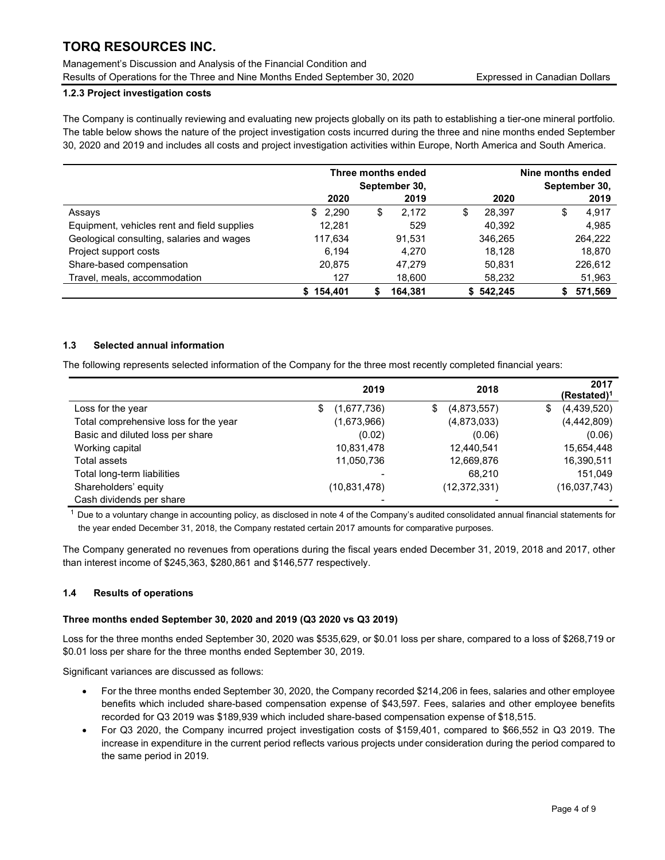Management's Discussion and Analysis of the Financial Condition and Results of Operations for the Three and Nine Months Ended September 30, 2020 Expressed in Canadian Dollars

## 1.2.3 Project investigation costs

The Company is continually reviewing and evaluating new projects globally on its path to establishing a tier-one mineral portfolio. The table below shows the nature of the project investigation costs incurred during the three and nine months ended September 30, 2020 and 2019 and includes all costs and project investigation activities within Europe, North America and South America.

|                                             |           | Three months ended<br>September 30, |              | Nine months ended<br>September 30, |  |  |
|---------------------------------------------|-----------|-------------------------------------|--------------|------------------------------------|--|--|
|                                             | 2020      | 2019                                | 2020         | 2019                               |  |  |
| Assays                                      | \$2,290   | 2.172<br>\$                         | 28.397<br>\$ | 4.917<br>\$                        |  |  |
| Equipment, vehicles rent and field supplies | 12.281    | 529                                 | 40.392       | 4,985                              |  |  |
| Geological consulting, salaries and wages   | 117,634   | 91.531                              | 346,265      | 264,222                            |  |  |
| Project support costs                       | 6.194     | 4.270                               | 18.128       | 18,870                             |  |  |
| Share-based compensation                    | 20,875    | 47.279                              | 50.831       | 226,612                            |  |  |
| Travel, meals, accommodation                | 127       | 18,600                              | 58,232       | 51,963                             |  |  |
|                                             | \$154.401 | 164.381<br>S                        | \$542.245    | 571.569<br>S                       |  |  |

### 1.3 Selected annual information

The following represents selected information of the Company for the three most recently completed financial years:

|                                       | 2019              | 2018              | 2017<br>$(Restated)^1$ |
|---------------------------------------|-------------------|-------------------|------------------------|
| Loss for the year                     | (1,677,736)<br>\$ | (4,873,557)<br>\$ | (4,439,520)<br>\$      |
| Total comprehensive loss for the year | (1,673,966)       | (4,873,033)       | (4,442,809)            |
| Basic and diluted loss per share      | (0.02)            | (0.06)            | (0.06)                 |
| Working capital                       | 10,831,478        | 12,440,541        | 15,654,448             |
| Total assets                          | 11,050,736        | 12,669,876        | 16,390,511             |
| Total long-term liabilities           |                   | 68.210            | 151.049                |
| Shareholders' equity                  | (10,831,478)      | (12, 372, 331)    | (16,037,743)           |
| Cash dividends per share              |                   |                   |                        |

 $1$  Due to a voluntary change in accounting policy, as disclosed in note 4 of the Company's audited consolidated annual financial statements for the year ended December 31, 2018, the Company restated certain 2017 amounts for comparative purposes.

The Company generated no revenues from operations during the fiscal years ended December 31, 2019, 2018 and 2017, other than interest income of \$245,363, \$280,861 and \$146,577 respectively.

### 1.4 Results of operations

### Three months ended September 30, 2020 and 2019 (Q3 2020 vs Q3 2019)

Loss for the three months ended September 30, 2020 was \$535,629, or \$0.01 loss per share, compared to a loss of \$268,719 or \$0.01 loss per share for the three months ended September 30, 2019.

Significant variances are discussed as follows:

- For the three months ended September 30, 2020, the Company recorded \$214,206 in fees, salaries and other employee benefits which included share-based compensation expense of \$43,597. Fees, salaries and other employee benefits recorded for Q3 2019 was \$189,939 which included share-based compensation expense of \$18,515.
- For Q3 2020, the Company incurred project investigation costs of \$159,401, compared to \$66,552 in Q3 2019. The increase in expenditure in the current period reflects various projects under consideration during the period compared to the same period in 2019.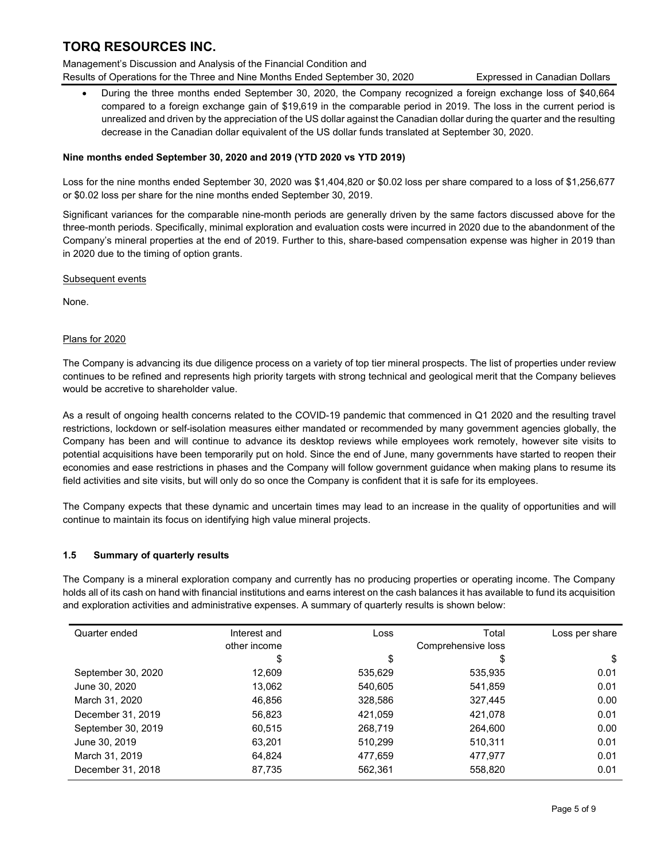Management's Discussion and Analysis of the Financial Condition and Results of Operations for the Three and Nine Months Ended September 30, 2020 Expressed in Canadian Dollars

 During the three months ended September 30, 2020, the Company recognized a foreign exchange loss of \$40,664 compared to a foreign exchange gain of \$19,619 in the comparable period in 2019. The loss in the current period is unrealized and driven by the appreciation of the US dollar against the Canadian dollar during the quarter and the resulting decrease in the Canadian dollar equivalent of the US dollar funds translated at September 30, 2020.

## Nine months ended September 30, 2020 and 2019 (YTD 2020 vs YTD 2019)

Loss for the nine months ended September 30, 2020 was \$1,404,820 or \$0.02 loss per share compared to a loss of \$1,256,677 or \$0.02 loss per share for the nine months ended September 30, 2019.

Significant variances for the comparable nine-month periods are generally driven by the same factors discussed above for the three-month periods. Specifically, minimal exploration and evaluation costs were incurred in 2020 due to the abandonment of the Company's mineral properties at the end of 2019. Further to this, share-based compensation expense was higher in 2019 than in 2020 due to the timing of option grants.

### Subsequent events

None.

## Plans for 2020

The Company is advancing its due diligence process on a variety of top tier mineral prospects. The list of properties under review continues to be refined and represents high priority targets with strong technical and geological merit that the Company believes would be accretive to shareholder value.

As a result of ongoing health concerns related to the COVID-19 pandemic that commenced in Q1 2020 and the resulting travel restrictions, lockdown or self-isolation measures either mandated or recommended by many government agencies globally, the Company has been and will continue to advance its desktop reviews while employees work remotely, however site visits to potential acquisitions have been temporarily put on hold. Since the end of June, many governments have started to reopen their economies and ease restrictions in phases and the Company will follow government guidance when making plans to resume its field activities and site visits, but will only do so once the Company is confident that it is safe for its employees.

The Company expects that these dynamic and uncertain times may lead to an increase in the quality of opportunities and will continue to maintain its focus on identifying high value mineral projects.

## 1.5 Summary of quarterly results

The Company is a mineral exploration company and currently has no producing properties or operating income. The Company holds all of its cash on hand with financial institutions and earns interest on the cash balances it has available to fund its acquisition and exploration activities and administrative expenses. A summary of quarterly results is shown below:

| Quarter ended      | Interest and | Loss    | Total              | Loss per share |
|--------------------|--------------|---------|--------------------|----------------|
|                    | other income |         | Comprehensive loss |                |
|                    | \$           | \$      | S                  | \$             |
| September 30, 2020 | 12,609       | 535,629 | 535,935            | 0.01           |
| June 30, 2020      | 13,062       | 540.605 | 541.859            | 0.01           |
| March 31, 2020     | 46,856       | 328,586 | 327,445            | 0.00           |
| December 31, 2019  | 56.823       | 421,059 | 421.078            | 0.01           |
| September 30, 2019 | 60,515       | 268,719 | 264,600            | 0.00           |
| June 30, 2019      | 63,201       | 510,299 | 510,311            | 0.01           |
| March 31, 2019     | 64.824       | 477.659 | 477.977            | 0.01           |
| December 31, 2018  | 87,735       | 562,361 | 558,820            | 0.01           |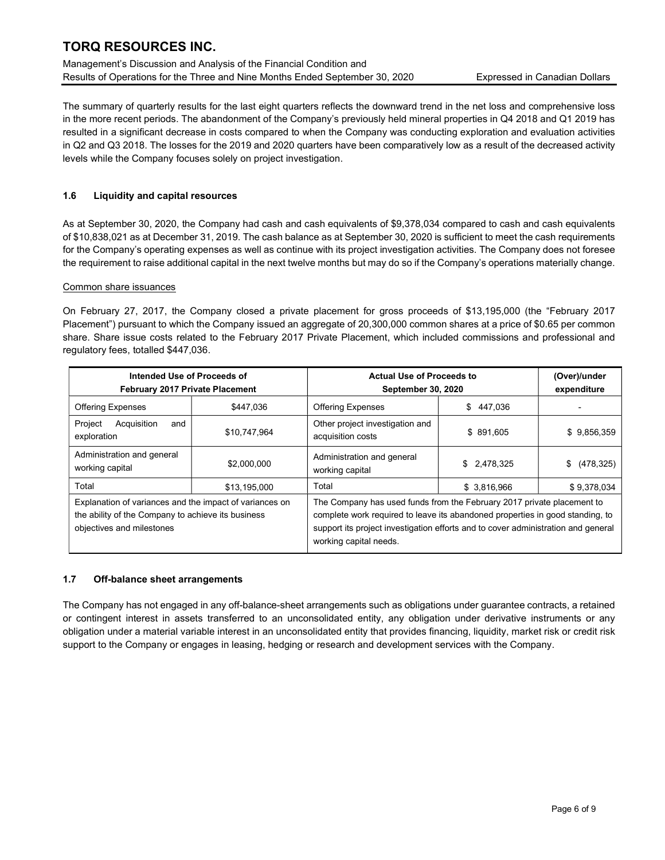Management's Discussion and Analysis of the Financial Condition and Results of Operations for the Three and Nine Months Ended September 30, 2020 Expressed in Canadian Dollars

The summary of quarterly results for the last eight quarters reflects the downward trend in the net loss and comprehensive loss in the more recent periods. The abandonment of the Company's previously held mineral properties in Q4 2018 and Q1 2019 has resulted in a significant decrease in costs compared to when the Company was conducting exploration and evaluation activities in Q2 and Q3 2018. The losses for the 2019 and 2020 quarters have been comparatively low as a result of the decreased activity levels while the Company focuses solely on project investigation.

## 1.6 Liquidity and capital resources

As at September 30, 2020, the Company had cash and cash equivalents of \$9,378,034 compared to cash and cash equivalents of \$10,838,021 as at December 31, 2019. The cash balance as at September 30, 2020 is sufficient to meet the cash requirements for the Company's operating expenses as well as continue with its project investigation activities. The Company does not foresee the requirement to raise additional capital in the next twelve months but may do so if the Company's operations materially change.

### Common share issuances

On February 27, 2017, the Company closed a private placement for gross proceeds of \$13,195,000 (the "February 2017 Placement") pursuant to which the Company issued an aggregate of 20,300,000 common shares at a price of \$0.65 per common share. Share issue costs related to the February 2017 Private Placement, which included commissions and professional and regulatory fees, totalled \$447,036.

| Intended Use of Proceeds of<br>February 2017 Private Placement                                                                             |              | <b>Actual Use of Proceeds to</b><br><b>September 30, 2020</b>                                                                                                                                                                                                          | (Over)/under<br>expenditure |               |
|--------------------------------------------------------------------------------------------------------------------------------------------|--------------|------------------------------------------------------------------------------------------------------------------------------------------------------------------------------------------------------------------------------------------------------------------------|-----------------------------|---------------|
| <b>Offering Expenses</b>                                                                                                                   | \$447.036    | <b>Offering Expenses</b>                                                                                                                                                                                                                                               | \$<br>447.036               |               |
| Project<br>Acquisition<br>and<br>exploration                                                                                               | \$10,747,964 | Other project investigation and<br>acquisition costs                                                                                                                                                                                                                   | \$891,605                   | \$9,856,359   |
| Administration and general<br>working capital                                                                                              | \$2,000,000  | Administration and general<br>working capital                                                                                                                                                                                                                          | \$2,478,325                 | \$ (478, 325) |
| Total                                                                                                                                      | \$13,195,000 | Total                                                                                                                                                                                                                                                                  | \$ 3,816,966                | \$9,378,034   |
| Explanation of variances and the impact of variances on<br>the ability of the Company to achieve its business<br>objectives and milestones |              | The Company has used funds from the February 2017 private placement to<br>complete work required to leave its abandoned properties in good standing, to<br>support its project investigation efforts and to cover administration and general<br>working capital needs. |                             |               |

### 1.7 Off-balance sheet arrangements

The Company has not engaged in any off-balance-sheet arrangements such as obligations under guarantee contracts, a retained or contingent interest in assets transferred to an unconsolidated entity, any obligation under derivative instruments or any obligation under a material variable interest in an unconsolidated entity that provides financing, liquidity, market risk or credit risk support to the Company or engages in leasing, hedging or research and development services with the Company.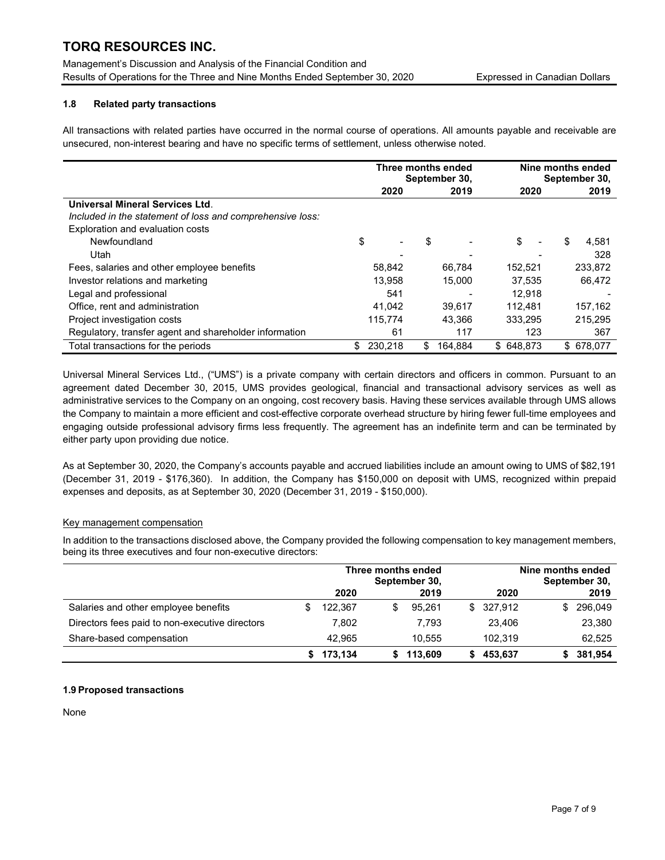## 1.8 Related party transactions

All transactions with related parties have occurred in the normal course of operations. All amounts payable and receivable are unsecured, non-interest bearing and have no specific terms of settlement, unless otherwise noted.

|                                                           |                |      | Three months ended<br>September 30, | Nine months ended<br>September 30, |             |  |
|-----------------------------------------------------------|----------------|------|-------------------------------------|------------------------------------|-------------|--|
|                                                           |                | 2020 | 2019                                | 2020                               | 2019        |  |
| Universal Mineral Services Ltd.                           |                |      |                                     |                                    |             |  |
| Included in the statement of loss and comprehensive loss: |                |      |                                     |                                    |             |  |
| Exploration and evaluation costs                          |                |      |                                     |                                    |             |  |
| Newfoundland                                              | \$             |      | \$                                  | \$<br>$\overline{\phantom{0}}$     | \$<br>4.581 |  |
| Utah                                                      |                |      |                                     |                                    | 328         |  |
| Fees, salaries and other employee benefits                | 58,842         |      | 66.784                              | 152,521                            | 233,872     |  |
| Investor relations and marketing                          | 13.958         |      | 15.000                              | 37.535                             | 66,472      |  |
| Legal and professional                                    |                | 541  |                                     | 12.918                             |             |  |
| Office, rent and administration                           | 41,042         |      | 39.617                              | 112,481                            | 157,162     |  |
| Project investigation costs                               | 115.774        |      | 43.366                              | 333.295                            | 215.295     |  |
| Regulatory, transfer agent and shareholder information    |                | 61   | 117                                 | 123                                | 367         |  |
| Total transactions for the periods                        | 230.218<br>\$. |      | 164.884<br>\$                       | \$648.873                          | \$678.077   |  |

Universal Mineral Services Ltd., ("UMS") is a private company with certain directors and officers in common. Pursuant to an agreement dated December 30, 2015, UMS provides geological, financial and transactional advisory services as well as administrative services to the Company on an ongoing, cost recovery basis. Having these services available through UMS allows the Company to maintain a more efficient and cost-effective corporate overhead structure by hiring fewer full-time employees and engaging outside professional advisory firms less frequently. The agreement has an indefinite term and can be terminated by either party upon providing due notice.

As at September 30, 2020, the Company's accounts payable and accrued liabilities include an amount owing to UMS of \$82,191 (December 31, 2019 - \$176,360). In addition, the Company has \$150,000 on deposit with UMS, recognized within prepaid expenses and deposits, as at September 30, 2020 (December 31, 2019 - \$150,000).

### Key management compensation

In addition to the transactions disclosed above, the Company provided the following compensation to key management members, being its three executives and four non-executive directors:

|                                                | Three months ended<br>September 30, |         |   | Nine months ended<br>September 30, |  |           |    |           |
|------------------------------------------------|-------------------------------------|---------|---|------------------------------------|--|-----------|----|-----------|
|                                                |                                     | 2020    |   | 2019                               |  | 2020      |    | 2019      |
| Salaries and other employee benefits           | \$.                                 | 122.367 | S | 95.261                             |  | \$327,912 | S. | 296,049   |
| Directors fees paid to non-executive directors |                                     | 7,802   |   | 7.793                              |  | 23.406    |    | 23,380    |
| Share-based compensation                       |                                     | 42.965  |   | 10.555                             |  | 102.319   |    | 62,525    |
|                                                |                                     | 173,134 |   | 113.609                            |  | 453,637   |    | \$381,954 |

### 1.9 Proposed transactions

None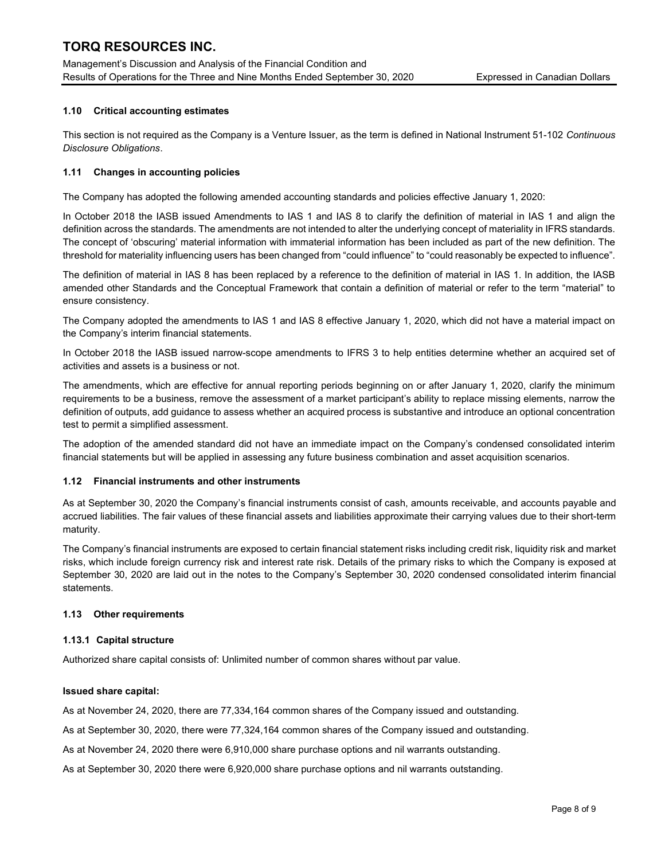## 1.10 Critical accounting estimates

This section is not required as the Company is a Venture Issuer, as the term is defined in National Instrument 51-102 Continuous Disclosure Obligations.

### 1.11 Changes in accounting policies

The Company has adopted the following amended accounting standards and policies effective January 1, 2020:

In October 2018 the IASB issued Amendments to IAS 1 and IAS 8 to clarify the definition of material in IAS 1 and align the definition across the standards. The amendments are not intended to alter the underlying concept of materiality in IFRS standards. The concept of 'obscuring' material information with immaterial information has been included as part of the new definition. The threshold for materiality influencing users has been changed from "could influence" to "could reasonably be expected to influence".

The definition of material in IAS 8 has been replaced by a reference to the definition of material in IAS 1. In addition, the IASB amended other Standards and the Conceptual Framework that contain a definition of material or refer to the term "material" to ensure consistency.

The Company adopted the amendments to IAS 1 and IAS 8 effective January 1, 2020, which did not have a material impact on the Company's interim financial statements.

In October 2018 the IASB issued narrow-scope amendments to IFRS 3 to help entities determine whether an acquired set of activities and assets is a business or not.

The amendments, which are effective for annual reporting periods beginning on or after January 1, 2020, clarify the minimum requirements to be a business, remove the assessment of a market participant's ability to replace missing elements, narrow the definition of outputs, add guidance to assess whether an acquired process is substantive and introduce an optional concentration test to permit a simplified assessment.

The adoption of the amended standard did not have an immediate impact on the Company's condensed consolidated interim financial statements but will be applied in assessing any future business combination and asset acquisition scenarios.

### 1.12 Financial instruments and other instruments

As at September 30, 2020 the Company's financial instruments consist of cash, amounts receivable, and accounts payable and accrued liabilities. The fair values of these financial assets and liabilities approximate their carrying values due to their short-term maturity.

The Company's financial instruments are exposed to certain financial statement risks including credit risk, liquidity risk and market risks, which include foreign currency risk and interest rate risk. Details of the primary risks to which the Company is exposed at September 30, 2020 are laid out in the notes to the Company's September 30, 2020 condensed consolidated interim financial statements.

### 1.13 Other requirements

### 1.13.1 Capital structure

Authorized share capital consists of: Unlimited number of common shares without par value.

#### Issued share capital:

As at November 24, 2020, there are 77,334,164 common shares of the Company issued and outstanding.

As at September 30, 2020, there were 77,324,164 common shares of the Company issued and outstanding.

As at November 24, 2020 there were 6,910,000 share purchase options and nil warrants outstanding.

As at September 30, 2020 there were 6,920,000 share purchase options and nil warrants outstanding.